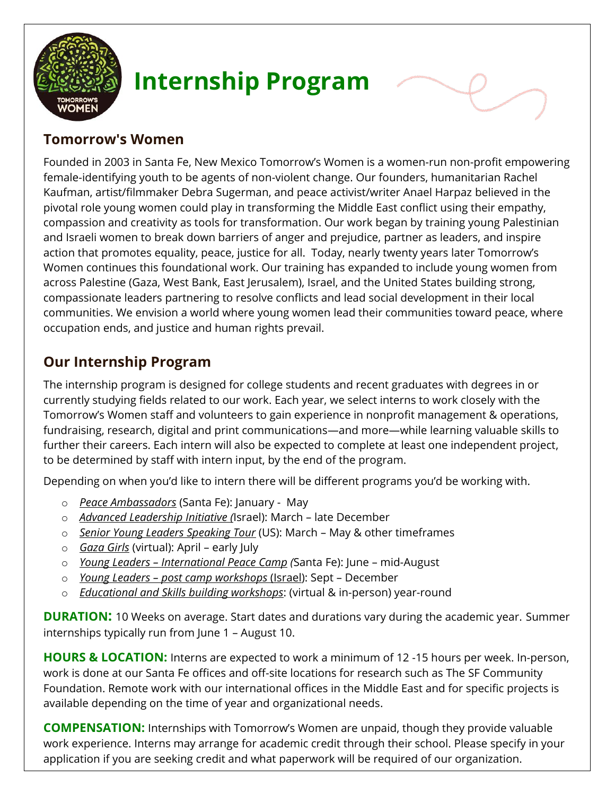

# **Internship Program**

## **Tomorrow's Women**

Founded in 2003 in Santa Fe, New Mexico Tomorrow's Women is a women-run non-profit empowering female-identifying youth to be agents of non-violent change. Our founders, humanitarian Rachel Kaufman, artist/filmmaker Debra Sugerman, and peace activist/writer Anael Harpaz believed in the pivotal role young women could play in transforming the Middle East conflict using their empathy, compassion and creativity as tools for transformation. Our work began by training young Palestinian and Israeli women to break down barriers of anger and prejudice, partner as leaders, and inspire action that promotes equality, peace, justice for all. Today, nearly twenty years later Tomorrow's Women continues this foundational work. Our training has expanded to include young women from across Palestine (Gaza, West Bank, East Jerusalem), Israel, and the United States building strong, compassionate leaders partnering to resolve conflicts and lead social development in their local communities. We envision a world where young women lead their communities toward peace, where occupation ends, and justice and human rights prevail.

## **Our Internship Program**

The internship program is designed for college students and recent graduates with degrees in or currently studying fields related to our work. Each year, we select interns to work closely with the Tomorrow's Women staff and volunteers to gain experience in nonprofit management & operations, fundraising, research, digital and print communications—and more—while learning valuable skills to further their careers. Each intern will also be expected to complete at least one independent project, to be determined by staff with intern input, by the end of the program.

Depending on when you'd like to intern there will be different programs you'd be working with.

- o *Peace Ambassadors* (Santa Fe): January May
- o *Advanced Leadership Initiative (*Israel): March late December
- o *Senior Young Leaders Speaking Tour* (US): March May & other timeframes
- o *Gaza Girls* (virtual): April early July
- o *Young Leaders – International Peace Camp (*Santa Fe): June mid-August
- o *Young Leaders – post camp workshops* (Israel): Sept December
- o *Educational and Skills building workshops*: (virtual & in-person) year-round

**DURATION:** 10 Weeks on average. Start dates and durations vary during the academic year. Summer internships typically run from June 1 – August 10.

**HOURS & LOCATION:** Interns are expected to work a minimum of 12 -15 hours per week. In-person, work is done at our Santa Fe offices and off-site locations for research such as The SF Community Foundation. Remote work with our international offices in the Middle East and for specific projects is available depending on the time of year and organizational needs.

**COMPENSATION:** Internships with Tomorrow's Women are unpaid, though they provide valuable work experience. Interns may arrange for academic credit through their school. Please specify in your application if you are seeking credit and what paperwork will be required of our organization.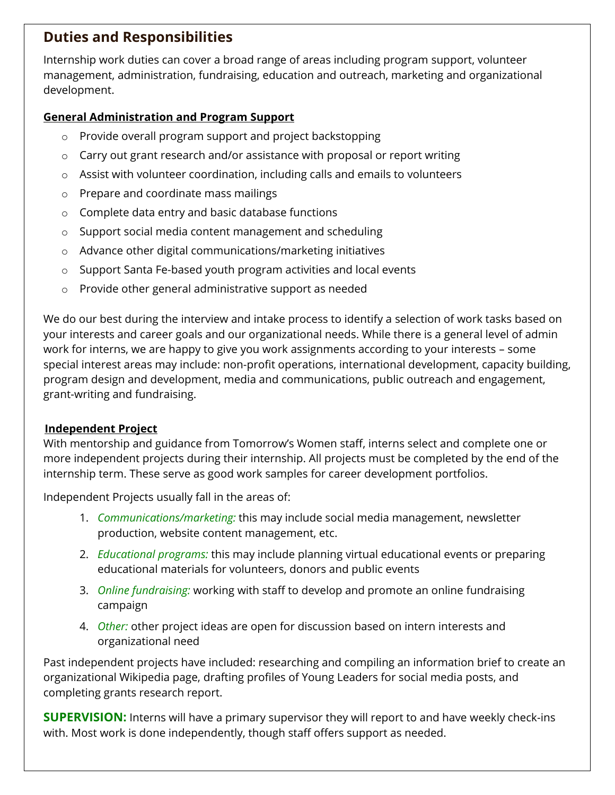## **Duties and Responsibilities**

Internship work duties can cover a broad range of areas including program support, volunteer management, administration, fundraising, education and outreach, marketing and organizational development.

#### **General Administration and Program Support**

- o Provide overall program support and project backstopping
- o Carry out grant research and/or assistance with proposal or report writing
- o Assist with volunteer coordination, including calls and emails to volunteers
- o Prepare and coordinate mass mailings
- o Complete data entry and basic database functions
- o Support social media content management and scheduling
- o Advance other digital communications/marketing initiatives
- o Support Santa Fe-based youth program activities and local events
- o Provide other general administrative support as needed

We do our best during the interview and intake process to identify a selection of work tasks based on your interests and career goals and our organizational needs. While there is a general level of admin work for interns, we are happy to give you work assignments according to your interests – some special interest areas may include: non-profit operations, international development, capacity building, program design and development, media and communications, public outreach and engagement, grant-writing and fundraising.

#### **Independent Project**

With mentorship and guidance from Tomorrow's Women staff, interns select and complete one or more independent projects during their internship. All projects must be completed by the end of the internship term. These serve as good work samples for career development portfolios.

Independent Projects usually fall in the areas of:

- 1. *Communications/marketing:* this may include social media management, newsletter production, website content management, etc.
- 2. *Educational programs:* this may include planning virtual educational events or preparing educational materials for volunteers, donors and public events
- 3. *Online fundraising:* working with staff to develop and promote an online fundraising campaign
- 4. *Other:* other project ideas are open for discussion based on intern interests and organizational need

Past independent projects have included: researching and compiling an information brief to create an organizational Wikipedia page, drafting profiles of Young Leaders for social media posts, and completing grants research report.

**SUPERVISION:** Interns will have a primary supervisor they will report to and have weekly check-ins with. Most work is done independently, though staff offers support as needed.